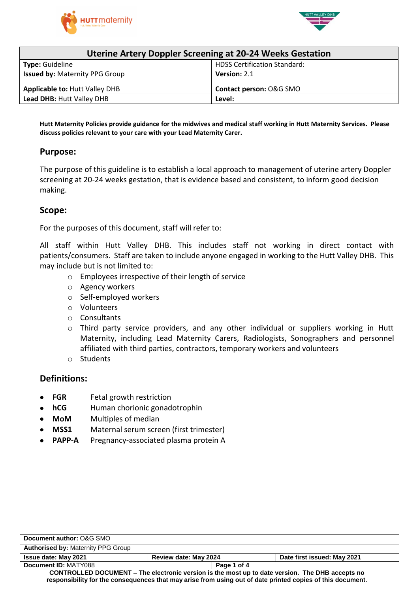



| <b>Uterine Artery Doppler Screening at 20-24 Weeks Gestation</b> |                                     |  |  |
|------------------------------------------------------------------|-------------------------------------|--|--|
| <b>Type:</b> Guideline                                           | <b>HDSS Certification Standard:</b> |  |  |
| <b>Issued by: Maternity PPG Group</b>                            | Version: 2.1                        |  |  |
| <b>Applicable to: Hutt Valley DHB</b>                            | Contact person: O&G SMO             |  |  |
| Lead DHB: Hutt Valley DHB                                        | Level:                              |  |  |

Hutt Maternity Policies provide guidance for the midwives and medical staff working in Hutt Maternity Services. Please **discuss policies relevant to your care with your Lead Maternity Carer.**

### **Purpose:**

The purpose of this guideline is to establish a local approach to management of uterine artery Doppler screening at 20-24 weeks gestation, that is evidence based and consistent, to inform good decision making.

#### **Scope:**

For the purposes of this document, staff will refer to:

All staff within Hutt Valley DHB. This includes staff not working in direct contact with patients/consumers. Staff are taken to include anyone engaged in working to the Hutt Valley DHB. This may include but is not limited to:

- o Employees irrespective of their length of service
- o Agency workers
- o Self-employed workers
- o Volunteers
- o Consultants
- $\circ$  Third party service providers, and any other individual or suppliers working in Hutt Maternity, including Lead Maternity Carers, Radiologists, Sonographers and personnel affiliated with third parties, contractors, temporary workers and volunteers
- o Students

### **Definitions:**

- **FGR** Fetal growth restriction
- **hCG** Human chorionic gonadotrophin
- **MoM** Multiples of median
- **MSS1** Maternal serum screen (first trimester)
- **PAPP-A** Pregnancy-associated plasma protein A

| Document author: O&G SMO                                                                                   |                       |                             |  |  |
|------------------------------------------------------------------------------------------------------------|-----------------------|-----------------------------|--|--|
| <b>Authorised by: Maternity PPG Group</b>                                                                  |                       |                             |  |  |
| <b>Issue date: May 2021</b>                                                                                | Review date: May 2024 | Date first issued: May 2021 |  |  |
| Document ID: MATY088                                                                                       | Page 1 of 4           |                             |  |  |
| CONTROLLED DOCUMENT – The electronic version is the most up to date version. The DHB accepts no            |                       |                             |  |  |
| responsibility for the consequences that may arise from using out of date printed copies of this document. |                       |                             |  |  |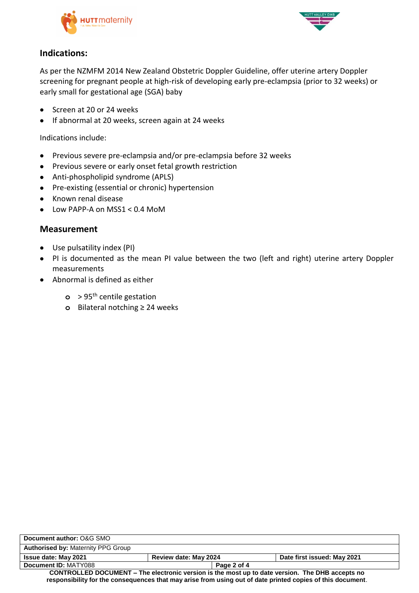



## **Indications:**

As per the NZMFM 2014 New Zealand Obstetric Doppler Guideline, offer uterine artery Doppler screening for pregnant people at high-risk of developing early pre-eclampsia (prior to 32 weeks) or early small for gestational age (SGA) baby

- Screen at 20 or 24 weeks
- If abnormal at 20 weeks, screen again at 24 weeks

Indications include:

- Previous severe pre-eclampsia and/or pre-eclampsia before 32 weeks
- Previous severe or early onset fetal growth restriction
- Anti-phospholipid syndrome (APLS)
- Pre-existing (essential or chronic) hypertension
- Known renal disease
- Low PAPP-A on MSS1 < 0.4 MoM

## **Measurement**

- Use pulsatility index (PI)
- PI is documented as the mean PI value between the two (left and right) uterine artery Doppler measurements
- Abnormal is defined as either
	- **o** > 95th centile gestation
	- **o** Bilateral notching ≥ 24 weeks

| Document author: O&G SMO                                                                                   |                       |                             |  |  |
|------------------------------------------------------------------------------------------------------------|-----------------------|-----------------------------|--|--|
| <b>Authorised by: Maternity PPG Group</b>                                                                  |                       |                             |  |  |
| <b>Issue date: May 2021</b>                                                                                | Review date: May 2024 | Date first issued: May 2021 |  |  |
| Document ID: MATY088                                                                                       | Page 2 of 4           |                             |  |  |
| CONTROLLED DOCUMENT – The electronic version is the most up to date version. The DHB accepts no            |                       |                             |  |  |
| responsibility for the consequences that may arise from using out of date printed copies of this document. |                       |                             |  |  |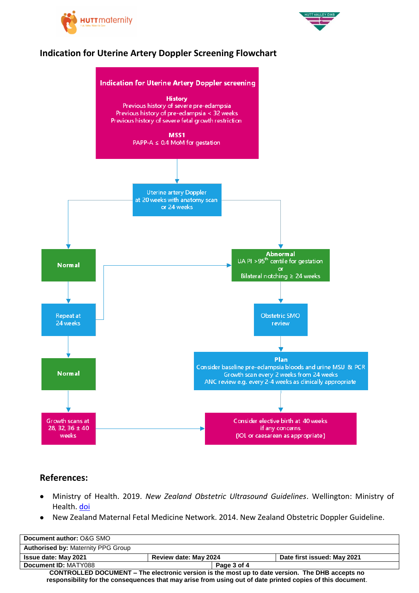



# **Indication for Uterine Artery Doppler Screening Flowchart**



## **References:**

- Ministry of Health. 2019. *New Zealand Obstetric Ultrasound Guidelines*. Wellington: Ministry of Health. [doi](https://www.health.govt.nz/publication/new-zealand-obstetric-ultrasound-guidelines)
- New Zealand Maternal Fetal Medicine Network. 2014. New Zealand Obstetric Doppler Guideline.

| Document author: O&G SMO                                                                                   |                       |                             |  |
|------------------------------------------------------------------------------------------------------------|-----------------------|-----------------------------|--|
| <b>Authorised by: Maternity PPG Group</b>                                                                  |                       |                             |  |
| <b>Issue date: May 2021</b>                                                                                | Review date: May 2024 | Date first issued: May 2021 |  |
| Document ID: MATY088                                                                                       | Page 3 of 4           |                             |  |
| CONTROLLED DOCUMENT – The electronic version is the most up to date version. The DHB accepts no            |                       |                             |  |
| responsibility for the consequences that may arise from using out of date printed copies of this document. |                       |                             |  |